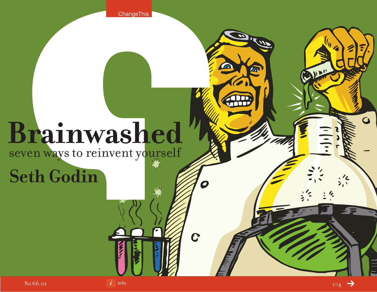**ChangeThis** 

 $\mathbf{W}$  $\frac{1}{2}$ 

 $\overline{C}$ 

# **Brainwashed**

## seven ways to reinvent yourself

# **Seth Godin**

 $\overline{G}$ 

C. Dun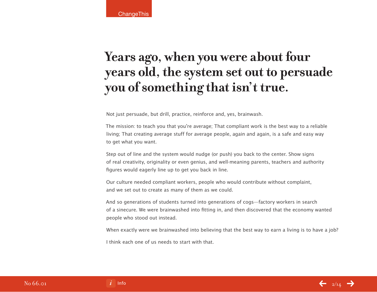### **Years ago, when you were about four years old, the system set out to persuade you of something that isn't true.**

Not just persuade, but drill, practice, reinforce and, yes, brainwash.

The mission: to teach you that you're average; That compliant work is the best way to a reliable living; That creating average stuff for average people, again and again, is a safe and easy way to get what you want.

Step out of line and the system would nudge (or push) you back to the center. Show signs of real creativity, originality or even genius, and well-meaning parents, teachers and authority figures would eagerly line up to get you back in line.

Our culture needed compliant workers, people who would contribute without complaint, and we set out to create as many of them as we could.

And so generations of students turned into generations of cogs—factory workers in search of a sinecure. We were brainwashed into fitting in, and then discovered that the economy wanted people who stood out instead.

When exactly were we brainwashed into believing that the best way to earn a living is to have a job?

I think each one of us needs to start with that.

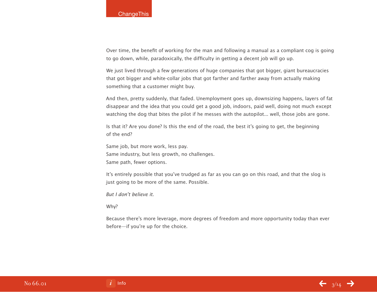#### **ChangeThis**

Over time, the benefit of working for the man and following a manual as a compliant cog is going to go down, while, paradoxically, the difficulty in getting a decent job will go up.

We just lived through a few generations of huge companies that got bigger, giant bureaucracies that got bigger and white-collar jobs that got farther and farther away from actually making something that a customer might buy.

And then, pretty suddenly, that faded. Unemployment goes up, downsizing happens, layers of fat disappear and the idea that you could get a good job, indoors, paid well, doing not much except watching the dog that bites the pilot if he messes with the autopilot... well, those jobs are gone.

Is that it? Are you done? Is this the end of the road, the best it's going to get, the beginning of the end?

Same job, but more work, less pay. Same industry, but less growth, no challenges. Same path, fewer options.

It's entirely possible that you've trudged as far as you can go on this road, and that the slog is just going to be more of the same. Possible.

But I don't believe it.

Why?

Because there's more leverage, more degrees of freedom and more opportunity today than ever before—if you're up for the choice.

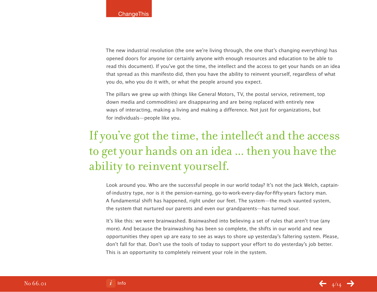The new industrial revolution (the one we're living through, the one that's changing everything) has opened doors for anyone (or certainly anyone with enough resources and education to be able to read this document). If you've got the time, the intellect and the access to get your hands on an idea that spread as this manifesto did, then you have the ability to reinvent yourself, regardless of what you do, who you do it with, or what the people around you expect.

The pillars we grew up with (things like General Motors, TV, the postal service, retirement, top down media and commodities) are disappearing and are being replaced with entirely new ways of interacting, making a living and making a difference. Not just for organizations, but for individuals—people like you.

### If you've got the time, the intellect and the access to get your hands on an idea ... then you have the ability to reinvent yourself.

Look around you. Who are the successful people in our world today? It's not the Jack Welch, captainof-industry type, nor is it the pension-earning, go-to-work-every-day-for-fifty-years factory man. A fundamental shift has happened, right under our feet. The system—the much vaunted system, the system that nurtured our parents and even our grandparents—has turned sour.

It's like this: we were brainwashed. Brainwashed into believing a set of rules that aren't true (any more). And because the brainwashing has been so complete, the shifts in our world and new opportunities they open up are easy to see as ways to shore up yesterday's faltering system. Please, don't fall for that. Don't use the tools of today to support your effort to do yesterday's job better. This is an opportunity to completely reinvent your role in the system.

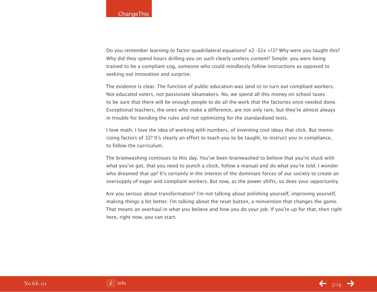Do you remember learning to factor quadrilateral equations? x2 -32x +12? Why were you taught this? Why did they spend hours drilling you on such clearly useless content? Simple: you were being trained to be a compliant cog, someone who could mindlessly follow instructions as opposed to seeking out innovation and surprise.

The evidence is clear. The function of public education was (and is) to turn out compliant workers. Not educated voters, not passionate ideamakers. No, we spend all this money on school taxes to be sure that there will be enough people to do all the work that the factories once needed done. Exceptional teachers, the ones who make a difference, are not only rare, but they're almost always in trouble for bending the rules and not optimizing for the standardized tests.

I love math. I love the idea of working with numbers, of inventing cool ideas that click. But memorizing factors of 32? It's clearly an effort to teach you to be taught, to instruct you in compliance, to follow the curriculum.

The brainwashing continues to this day. You've been brainwashed to believe that you're stuck with what you've got, that you need to punch a clock, follow a manual and do what you're told. I wonder who dreamed that up? It's certainly in the interest of the dominant forces of our society to create an oversupply of eager and compliant workers. But now, as the power shifts, so does your opportunity.

Are you serious about transformation? I'm not talking about polishing yourself, improving yourself, making things a bit better. I'm talking about the reset button, a reinvention that changes the game. That means an overhaul in what you believe and how you do your job. If you're up for that, then right here, right now, you can start.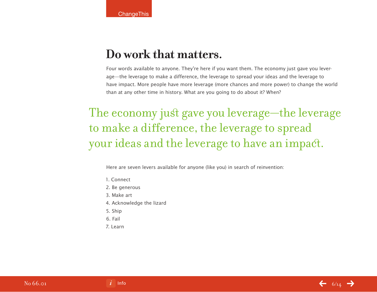#### **Do work that matters.**

Four words available to anyone. They're here if you want them. The economy just gave you leverage—the leverage to make a difference, the leverage to spread your ideas and the leverage to have impact. More people have more leverage (more chances and more power) to change the world than at any other time in history. What are you going to do about it? When?

### The economy just gave you leverage—the leverage to make a difference, the leverage to spread your ideas and the leverage to have an impact.

Here are seven levers available for anyone (like you) in search of reinvention:

- 1. Connect
- 2. Be generous
- 3. Make art
- 4. Acknowledge the lizard
- 5. Ship
- 6. Fail
- 7. Learn

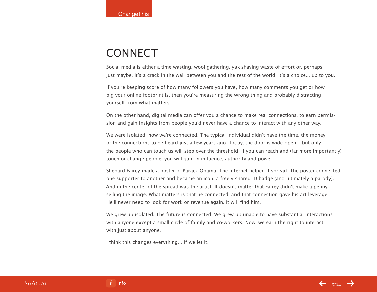### **CONNECT**

Social media is either a time-wasting, wool-gathering, yak-shaving waste of effort or, perhaps, just maybe, it's a crack in the wall between you and the rest of the world. It's a choice... up to you.

If you're keeping score of how many followers you have, how many comments you get or how big your online footprint is, then you're measuring the wrong thing and probably distracting yourself from what matters.

On the other hand, digital media can offer you a chance to make real connections, to earn permission and gain insights from people you'd never have a chance to interact with any other way.

We were isolated, now we're connected. The typical individual didn't have the time, the money or the connections to be heard just a few years ago. Today, the door is wide open... but only the people who can touch us will step over the threshold. If you can reach and (far more importantly) touch or change people, you will gain in influence, authority and power.

Shepard Fairey made a poster of Barack Obama. The Internet helped it spread. The poster connected one supporter to another and became an icon, a freely shared ID badge (and ultimately a parody). And in the center of the spread was the artist. It doesn't matter that Fairey didn't make a penny selling the image. What matters is that he connected, and that connection gave his art leverage. He'll never need to look for work or revenue again. It will find him.

We grew up isolated. The future is connected. We grew up unable to have substantial interactions with anyone except a small circle of family and co-workers. Now, we earn the right to interact with just about anyone.

I think this changes everything… if we let it.

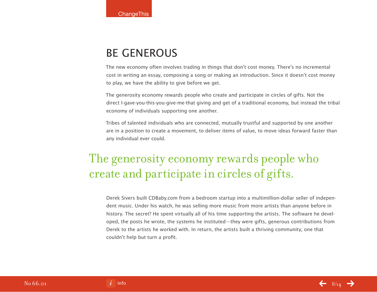#### BE GENEROUS

The new economy often involves trading in things that don't cost money. There's no incremental cost in writing an essay, composing a song or making an introduction. Since it doesn't cost money to play, we have the ability to give before we get.

The generosity economy rewards people who create and participate in circles of gifts. Not the direct I-gave-you-this-you-give-me-that giving and get of a traditional economy, but instead the tribal economy of individuals supporting one another.

Tribes of talented individuals who are connected, mutually trustful and supported by one another are in a position to create a movement, to deliver items of value, to move ideas forward faster than any individual ever could.

### The generosity economy rewards people who create and participate in circles of gifts.

Derek Sivers built CDBaby.com from a bedroom startup into a multimillion-dollar seller of independent music. Under his watch, he was selling more music from more artists than anyone before in history. The secret? He spent virtually all of his time supporting the artists. The software he developed, the posts he wrote, the systems he instituted—they were gifts, generous contributions from Derek to the artists he worked with. In return, the artists built a thriving community, one that couldn't help but turn a profit.

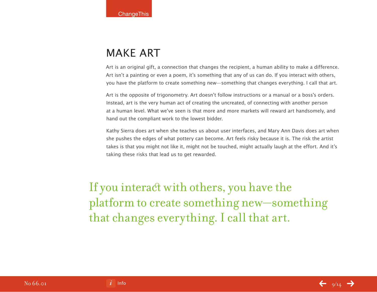### MAKE ART

Art is an original gift, a connection that changes the recipient, a human ability to make a difference. Art isn't a painting or even a poem, it's something that any of us can do. If you interact with others, you have the platform to create something new—something that changes everything. I call that art.

Art is the opposite of trigonometry. Art doesn't follow instructions or a manual or a boss's orders. Instead, art is the very human act of creating the uncreated, of connecting with another person at a human level. What we've seen is that more and more markets will reward art handsomely, and hand out the compliant work to the lowest bidder.

Kathy Sierra does art when she teaches us about user interfaces, and Mary Ann Davis does art when she pushes the edges of what pottery can become. Art feels risky because it is. The risk the artist takes is that you might not like it, might not be touched, might actually laugh at the effort. And it's taking these risks that lead us to get rewarded.

If you interact with others, you have the platform to create something new—something that changes everything. I call that art.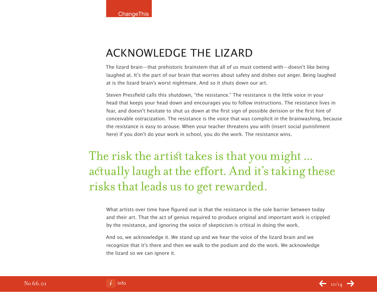#### ACKNOWLEDGE THE LIZARD

The lizard brain—that prehistoric brainstem that all of us must contend with—doesn't like being laughed at. It's the part of our brain that worries about safety and dishes out anger. Being laughed at is the lizard brain's worst nightmare. And so it shuts down our art.

Steven Pressfield calls this shutdown, "the resistance." The resistance is the little voice in your head that keeps your head down and encourages you to follow instructions. The resistance lives in fear, and doesn't hesitate to shut us down at the first sign of possible derision or the first hint of conceivable ostracization. The resistance is the voice that was complicit in the brainwashing, because the resistance is easy to arouse. When your teacher threatens you with (insert social punishment here) if you don't do your work in school, you do the work. The resistance wins.

### The risk the artist takes is that you might ... actually laugh at the effort. And it's taking these risks that leads us to get rewarded.

What artists over time have figured out is that the resistance is the sole barrier between today and their art. That the act of genius required to produce original and important work is crippled by the resistance, and ignoring the voice of skepticism is critical in doing the work.

And so, we acknowledge it. We stand up and we hear the voice of the lizard brain and we recognize that it's there and then we walk to the podium and do the work. We acknowledge the lizard so we can ignore it.

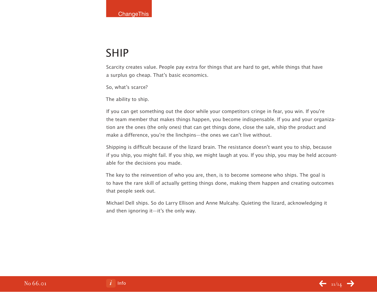#### SHIP

Scarcity creates value. People pay extra for things that are hard to get, while things that have a surplus go cheap. That's basic economics.

So, what's scarce?

The ability to ship.

If you can get something out the door while your competitors cringe in fear, you win. If you're the team member that makes things happen, you become indispensable. If you and your organization are the ones (the only ones) that can get things done, close the sale, ship the product and make a difference, you're the linchpins—the ones we can't live without.

Shipping is difficult because of the lizard brain. The resistance doesn't want you to ship, because if you ship, you might fail. If you ship, we might laugh at you. If you ship, you may be held accountable for the decisions you made.

The key to the reinvention of who you are, then, is to become someone who ships. The goal is to have the rare skill of actually getting things done, making them happen and creating outcomes that people seek out.

Michael Dell ships. So do Larry Ellison and Anne Mulcahy. Quieting the lizard, acknowledging it and then ignoring it—it's the only way.



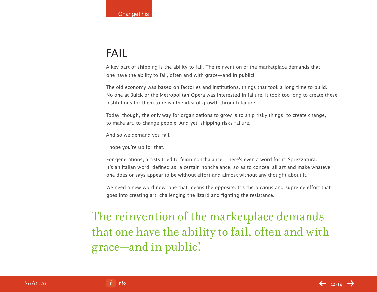#### FAIL

A key part of shipping is the ability to fail. The reinvention of the marketplace demands that one have the ability to fail, often and with grace—and in public!

The old economy was based on factories and institutions, things that took a long time to build. No one at Buick or the Metropolitan Opera was interested in failure. It took too long to create these institutions for them to relish the idea of growth through failure.

Today, though, the only way for organizations to grow is to ship risky things, to create change, to make art, to change people. And yet, shipping risks failure.

And so we demand you fail.

I hope you're up for that.

For generations, artists tried to feign nonchalance. There's even a word for it: Sprezzatura. It's an Italian word, defined as "a certain nonchalance, so as to conceal all art and make whatever one does or says appear to be without effort and almost without any thought about it."

We need a new word now, one that means the opposite. It's the obvious and supreme effort that goes into creating art, challenging the lizard and fighting the resistance.

The reinvention of the marketplace demands that one have the ability to fail, often and with grace—and in public!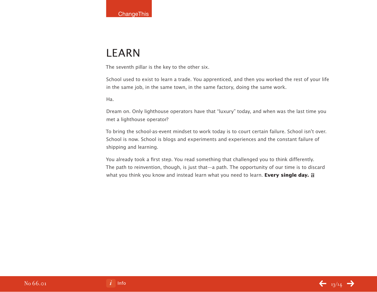### LEARN

The seventh pillar is the key to the other six.

School used to exist to learn a trade. You apprenticed, and then you worked the rest of your life in the same job, in the same town, in the same factory, doing the same work.

Ha.

Dream on. Only lighthouse operators have that "luxury" today, and when was the last time you met a lighthouse operator?

To bring the school-as-event mindset to work today is to court certain failure. School isn't over. School is now. School is blogs and experiments and experiences and the constant failure of shipping and learning.

You already took a first step. You read something that challenged you to think differently. The path to reinvention, though, is just that—a path. The opportunity of our time is to discard what you think you know and instead learn what you need to learn. **Every single day. a**